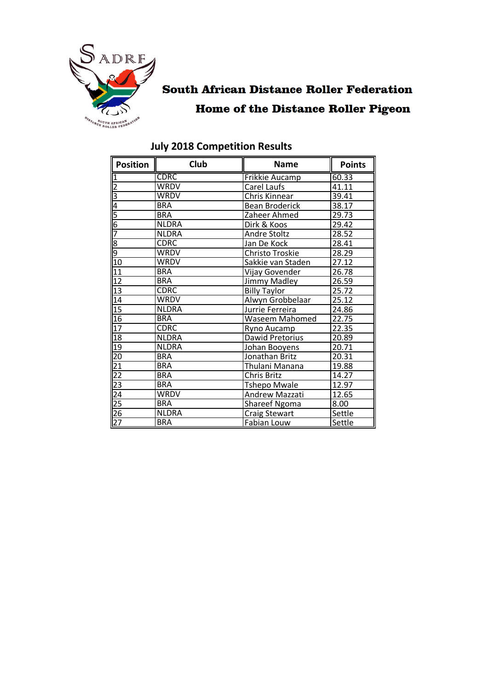

# **South African Distance Roller Federation Home of the Distance Roller Pigeon**

| <b>Position</b>         | Club         | <b>Name</b>                    | <b>Points</b> |
|-------------------------|--------------|--------------------------------|---------------|
| $\overline{1}$          | <b>CDRC</b>  | <b>Frikkie Aucamp</b>          | 60.33         |
| $\overline{c}$          | <b>WRDV</b>  | Carel Laufs                    | 41.11         |
| $\overline{\mathbf{3}}$ | <b>WRDV</b>  | Chris Kinnear                  | 39.41         |
| 4                       | <b>BRA</b>   | <b>Bean Broderick</b>          | 38.17         |
| $rac{5}{6}$             | <b>BRA</b>   | Zaheer Ahmed                   | 29.73         |
|                         | <b>NLDRA</b> | Dirk & Koos                    | 29.42         |
| 7                       | <b>NLDRA</b> | <b>Andre Stoltz</b>            | 28.52         |
|                         | <b>CDRC</b>  | Jan De Kock                    | 28.41         |
|                         | <b>WRDV</b>  | Christo Troskie                | 28.29         |
| $\overline{10}$         | <b>WRDV</b>  | Sakkie van Staden              | 27.12         |
| 11                      | <b>BRA</b>   | Vijay Govender                 | 26.78         |
| 12                      | <b>BRA</b>   | <b>Jimmy Madley</b>            | 26.59         |
| $\overline{13}$         | <b>CDRC</b>  | <b>Billy Taylor</b>            | 25.72         |
| 14                      | <b>WRDV</b>  | Alwyn Grobbelaar               | 25.12         |
| $\overline{15}$         | <b>NLDRA</b> | Jurrie Ferreira                | 24.86         |
| $\overline{16}$         | <b>BRA</b>   | <b>Waseem Mahomed</b>          | 22.75         |
| $\overline{17}$         | <b>CDRC</b>  | Ryno Aucamp                    | 22.35         |
| 18                      | <b>NLDRA</b> | Dawid Pretorius                | 20.89         |
| 19                      | <b>NLDRA</b> | Johan Booyens                  | 20.71         |
| $\overline{20}$         | <b>BRA</b>   | Jonathan Britz                 | 20.31         |
| $\overline{21}$         | <b>BRA</b>   | Thulani Manana                 | 19.88         |
| $\overline{22}$         | <b>BRA</b>   | Chris Britz                    | 14.27         |
| 23                      | <b>BRA</b>   | <b>Tshepo Mwale</b>            | 12.97         |
| $\overline{24}$         | <b>WRDV</b>  | Andrew Mazzati                 | 12.65         |
| $\overline{25}$         | <b>BRA</b>   | <b>Shareef Ngoma</b><br>8.00   |               |
| 26                      | <b>NLDRA</b> | Settle<br><b>Craig Stewart</b> |               |
| $\overline{27}$         | <b>BRA</b>   | Fabian Louw<br>Settle          |               |

## **July 2018 Competition Results**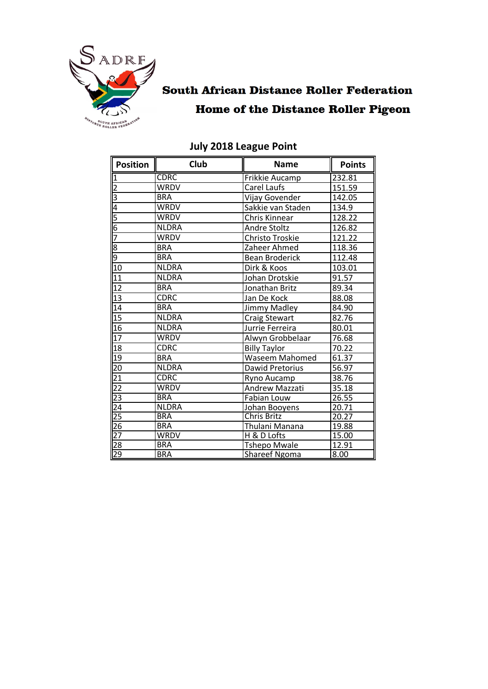

## **South African Distance Roller Federation Home of the Distance Roller Pigeon**

| <b>Position</b> | <b>Club</b>  | <b>Name</b>                  | <b>Points</b> |
|-----------------|--------------|------------------------------|---------------|
| π               | <b>CDRC</b>  | <b>Frikkie Aucamp</b>        | 232.81        |
|                 | <b>WRDV</b>  | Carel Laufs                  | 151.59        |
| $\frac{2}{3}$   | <b>BRA</b>   | Vijay Govender               | 142.05        |
|                 | <b>WRDV</b>  | Sakkie van Staden            | 134.9         |
| 5               | <b>WRDV</b>  | Chris Kinnear                | 128.22        |
| $rac{6}{7}$     | <b>NLDRA</b> | <b>Andre Stoltz</b>          | 126.82        |
|                 | <b>WRDV</b>  | Christo Troskie              | 121.22        |
|                 | <b>BRA</b>   | Zaheer Ahmed                 | 118.36        |
| တ တ             | <b>BRA</b>   | <b>Bean Broderick</b>        | 112.48        |
| $\overline{1}0$ | <b>NLDRA</b> | Dirk & Koos                  | 103.01        |
| 11              | <b>NLDRA</b> | Johan Drotskie               | 91.57         |
| 12              | <b>BRA</b>   | Jonathan Britz               | 89.34         |
| $\overline{13}$ | <b>CDRC</b>  | Jan De Kock                  | 88.08         |
| 14              | <b>BRA</b>   | Jimmy Madley                 | 84.90         |
| 15              | <b>NLDRA</b> | <b>Craig Stewart</b>         | 82.76         |
| 16              | <b>NLDRA</b> | Jurrie Ferreira              | 80.01         |
| 17              | <b>WRDV</b>  | Alwyn Grobbelaar             | 76.68         |
| 18              | <b>CDRC</b>  | <b>Billy Taylor</b>          | 70.22         |
| 19              | <b>BRA</b>   | <b>Waseem Mahomed</b>        | 61.37         |
| 20              | <b>NLDRA</b> | Dawid Pretorius              | 56.97         |
| 21              | <b>CDRC</b>  | Ryno Aucamp                  | 38.76         |
| $\overline{22}$ | <b>WRDV</b>  | Andrew Mazzati               | 35.18         |
| $\overline{23}$ | <b>BRA</b>   | Fabian Louw                  | 26.55         |
| $\overline{24}$ | <b>NLDRA</b> | 20.71<br>Johan Booyens       |               |
| $\overline{25}$ | <b>BRA</b>   | <b>Chris Britz</b>           | 20.27         |
| $\overline{26}$ | <b>BRA</b>   | Thulani Manana<br>19.88      |               |
| 27              | <b>WRDV</b>  | 15.00<br>H & D Lofts         |               |
| 28              | <b>BRA</b>   | <b>Tshepo Mwale</b><br>12.91 |               |
| 29              | <b>BRA</b>   | <b>Shareef Ngoma</b><br>8.00 |               |

## **July 2018 League Point**